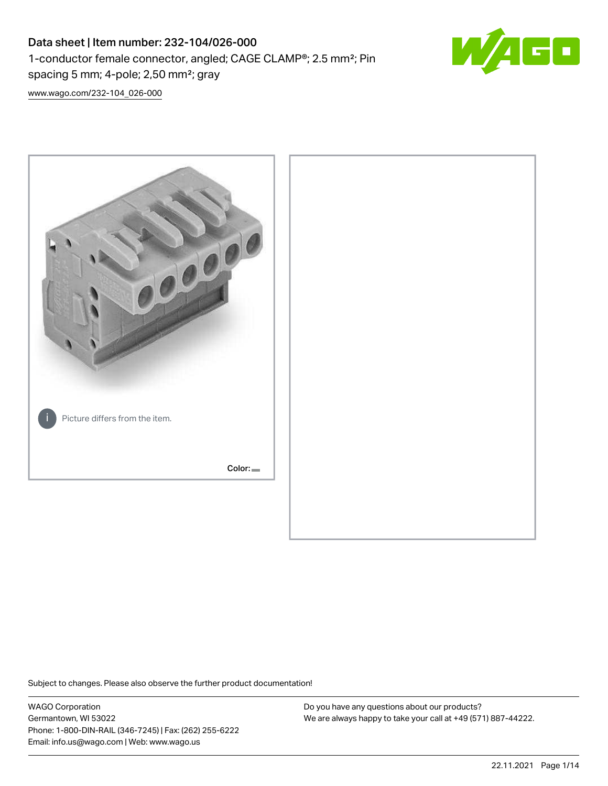# Data sheet | Item number: 232-104/026-000 1-conductor female connector, angled; CAGE CLAMP®; 2.5 mm²; Pin spacing 5 mm; 4-pole; 2,50 mm²; gray



[www.wago.com/232-104\\_026-000](http://www.wago.com/232-104_026-000)



Subject to changes. Please also observe the further product documentation!

WAGO Corporation Germantown, WI 53022 Phone: 1-800-DIN-RAIL (346-7245) | Fax: (262) 255-6222 Email: info.us@wago.com | Web: www.wago.us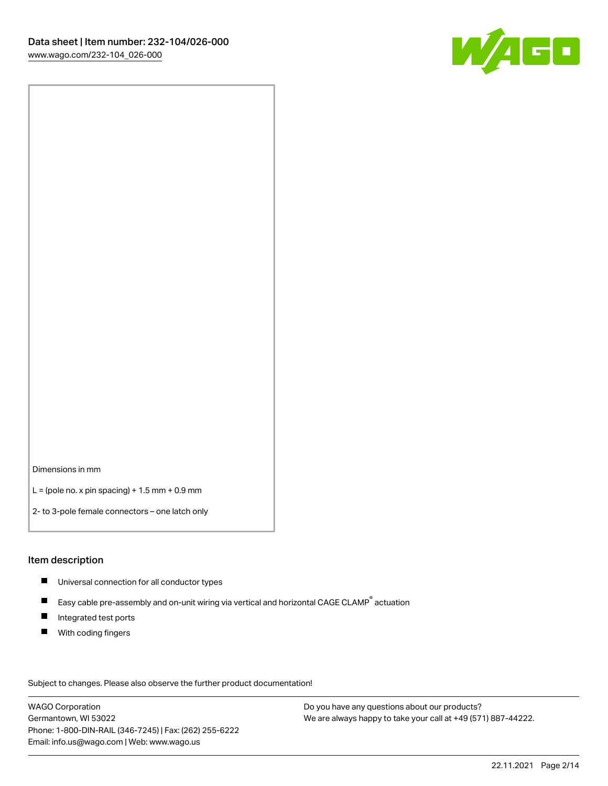

Dimensions in mm

 $L =$  (pole no. x pin spacing) + 1.5 mm + 0.9 mm

2- to 3-pole female connectors – one latch only

#### Item description

- **Universal connection for all conductor types**
- Easy cable pre-assembly and on-unit wiring via vertical and horizontal CAGE CLAMP<sup>®</sup> actuation  $\blacksquare$
- $\blacksquare$ Integrated test ports
- $\blacksquare$ With coding fingers

Subject to changes. Please also observe the further product documentation! Data

WAGO Corporation Germantown, WI 53022 Phone: 1-800-DIN-RAIL (346-7245) | Fax: (262) 255-6222 Email: info.us@wago.com | Web: www.wago.us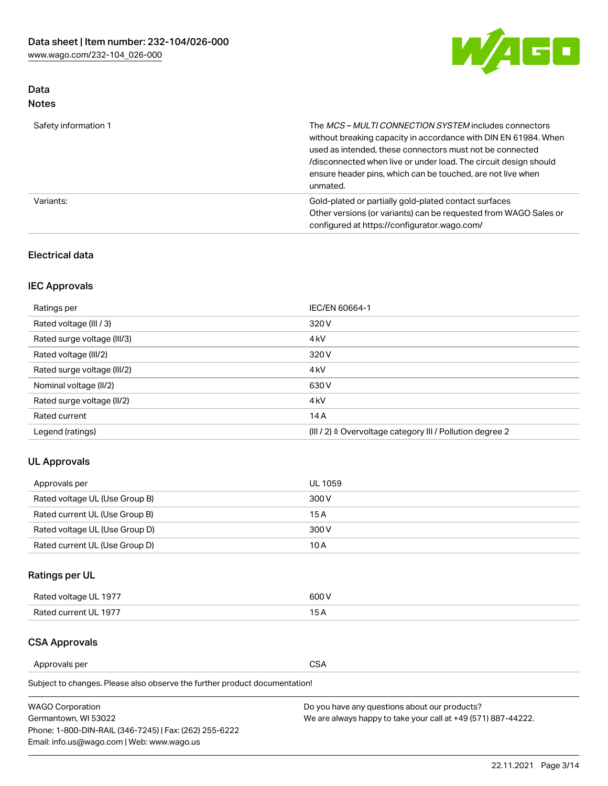

## Data Notes

| Safety information 1 | The MCS-MULTI CONNECTION SYSTEM includes connectors<br>without breaking capacity in accordance with DIN EN 61984. When<br>used as intended, these connectors must not be connected<br>/disconnected when live or under load. The circuit design should<br>ensure header pins, which can be touched, are not live when<br>unmated. |
|----------------------|-----------------------------------------------------------------------------------------------------------------------------------------------------------------------------------------------------------------------------------------------------------------------------------------------------------------------------------|
| Variants:            | Gold-plated or partially gold-plated contact surfaces<br>Other versions (or variants) can be requested from WAGO Sales or<br>configured at https://configurator.wago.com/                                                                                                                                                         |

#### Electrical data

## IEC Approvals

| Ratings per                 | IEC/EN 60664-1                                                        |
|-----------------------------|-----------------------------------------------------------------------|
| Rated voltage (III / 3)     | 320 V                                                                 |
| Rated surge voltage (III/3) | 4 <sub>k</sub> V                                                      |
| Rated voltage (III/2)       | 320 V                                                                 |
| Rated surge voltage (III/2) | 4 <sub>k</sub> V                                                      |
| Nominal voltage (II/2)      | 630 V                                                                 |
| Rated surge voltage (II/2)  | 4 <sub>k</sub> V                                                      |
| Rated current               | 14A                                                                   |
| Legend (ratings)            | $(III / 2)$ $\triangle$ Overvoltage category III / Pollution degree 2 |

#### UL Approvals

| Approvals per                  | UL 1059 |
|--------------------------------|---------|
| Rated voltage UL (Use Group B) | 300 V   |
| Rated current UL (Use Group B) | 15 A    |
| Rated voltage UL (Use Group D) | 300 V   |
| Rated current UL (Use Group D) | 10 A    |

# Ratings per UL

| Rated voltage UL 1977 | 300 V |
|-----------------------|-------|
| Rated current UL 1977 |       |

#### CSA Approvals

Approvals per CSA

Subject to changes. Please also observe the further product documentation!

| <b>WAGO Corporation</b>                                | Do you have any questions about our products?                 |
|--------------------------------------------------------|---------------------------------------------------------------|
| Germantown, WI 53022                                   | We are always happy to take your call at +49 (571) 887-44222. |
| Phone: 1-800-DIN-RAIL (346-7245)   Fax: (262) 255-6222 |                                                               |
| Email: info.us@wago.com   Web: www.wago.us             |                                                               |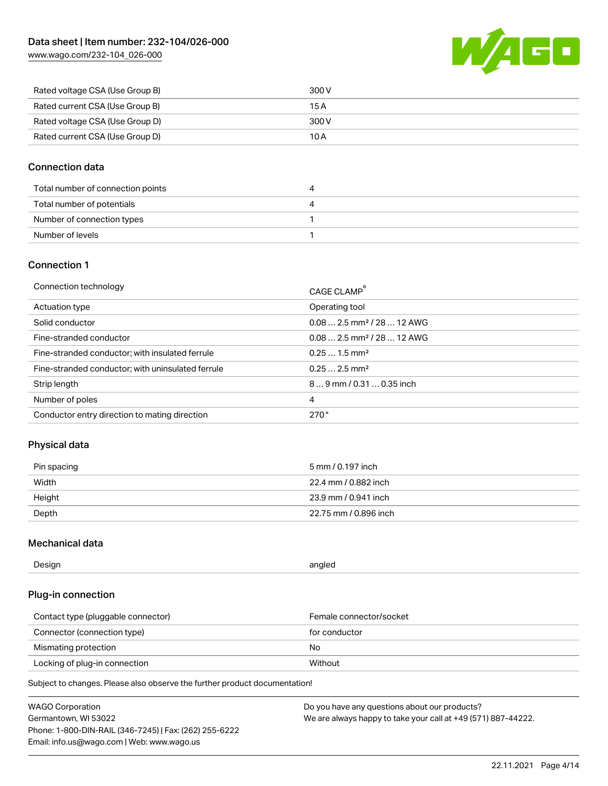[www.wago.com/232-104\\_026-000](http://www.wago.com/232-104_026-000)



| Rated voltage CSA (Use Group B) | 300 V |
|---------------------------------|-------|
| Rated current CSA (Use Group B) | 15 A  |
| Rated voltage CSA (Use Group D) | 300 V |
| Rated current CSA (Use Group D) | 10 A  |

#### Connection data

| Total number of connection points |  |
|-----------------------------------|--|
| Total number of potentials        |  |
| Number of connection types        |  |
| Number of levels                  |  |

#### Connection 1

| Connection technology                             | CAGE CLAMP <sup>®</sup>                 |
|---------------------------------------------------|-----------------------------------------|
| Actuation type                                    | Operating tool                          |
| Solid conductor                                   | $0.082.5$ mm <sup>2</sup> / 28  12 AWG  |
| Fine-stranded conductor                           | $0.08$ 2.5 mm <sup>2</sup> / 28  12 AWG |
| Fine-stranded conductor; with insulated ferrule   | $0.251.5$ mm <sup>2</sup>               |
| Fine-stranded conductor; with uninsulated ferrule | $0.252.5$ mm <sup>2</sup>               |
| Strip length                                      | 89 mm / 0.31  0.35 inch                 |
| Number of poles                                   | 4                                       |
| Conductor entry direction to mating direction     | 270°                                    |

#### Physical data

| Pin spacing | 5 mm / 0.197 inch     |
|-------------|-----------------------|
| Width       | 22.4 mm / 0.882 inch  |
| Height      | 23.9 mm / 0.941 inch  |
| Depth       | 22.75 mm / 0.896 inch |

#### Mechanical data

| Design<br>angled |  |
|------------------|--|
|------------------|--|

#### Plug-in connection

| Contact type (pluggable connector) | Female connector/socket |
|------------------------------------|-------------------------|
| Connector (connection type)        | for conductor           |
| Mismating protection               | No.                     |
| Locking of plug-in connection      | Without                 |

Subject to changes. Please also observe the further product documentation!

| <b>WAGO Corporation</b>                                | Do you have any questions about our products?                 |
|--------------------------------------------------------|---------------------------------------------------------------|
| Germantown, WI 53022                                   | We are always happy to take your call at +49 (571) 887-44222. |
| Phone: 1-800-DIN-RAIL (346-7245)   Fax: (262) 255-6222 |                                                               |
| Email: info.us@wago.com   Web: www.wago.us             |                                                               |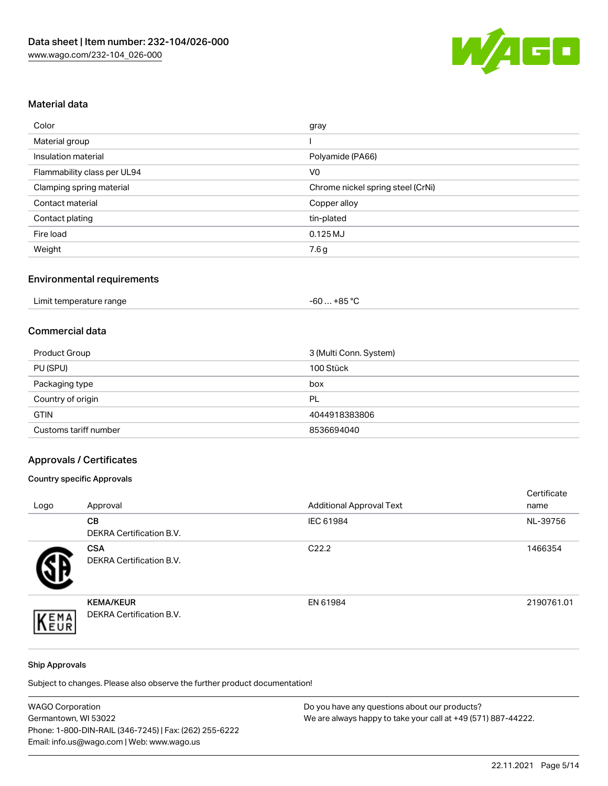

## Material data

| Color                       | gray                              |
|-----------------------------|-----------------------------------|
| Material group              |                                   |
| Insulation material         | Polyamide (PA66)                  |
| Flammability class per UL94 | V <sub>0</sub>                    |
| Clamping spring material    | Chrome nickel spring steel (CrNi) |
| Contact material            | Copper alloy                      |
| Contact plating             | tin-plated                        |
| Fire load                   | $0.125$ MJ                        |
| Weight                      | 7.6g                              |

# Environmental requirements

| Limit temperature range<br>.<br>$\blacksquare$ . The contract of the contract of the contract of the contract of the contract of the contract of the contract of the contract of the contract of the contract of the contract of the contract of the contract of the | …+85 ° <sup>∩</sup><br>-60 |
|----------------------------------------------------------------------------------------------------------------------------------------------------------------------------------------------------------------------------------------------------------------------|----------------------------|
|----------------------------------------------------------------------------------------------------------------------------------------------------------------------------------------------------------------------------------------------------------------------|----------------------------|

#### Commercial data

| Product Group         | 3 (Multi Conn. System) |
|-----------------------|------------------------|
| PU (SPU)              | 100 Stück              |
| Packaging type        | box                    |
| Country of origin     | PL                     |
| <b>GTIN</b>           | 4044918383806          |
| Customs tariff number | 8536694040             |

# Approvals / Certificates

#### Country specific Approvals

| Logo | Approval                                            | <b>Additional Approval Text</b> | Certificate<br>name |
|------|-----------------------------------------------------|---------------------------------|---------------------|
|      | <b>CB</b><br><b>DEKRA Certification B.V.</b>        | IEC 61984                       | NL-39756            |
|      | <b>CSA</b><br>DEKRA Certification B.V.              | C <sub>22.2</sub>               | 1466354             |
| EMA  | <b>KEMA/KEUR</b><br><b>DEKRA Certification B.V.</b> | EN 61984                        | 2190761.01          |

#### Ship Approvals

Subject to changes. Please also observe the further product documentation!

| <b>WAGO Corporation</b>                                | Do you have any questions about our products?                 |
|--------------------------------------------------------|---------------------------------------------------------------|
| Germantown, WI 53022                                   | We are always happy to take your call at +49 (571) 887-44222. |
| Phone: 1-800-DIN-RAIL (346-7245)   Fax: (262) 255-6222 |                                                               |
| Email: info.us@wago.com   Web: www.wago.us             |                                                               |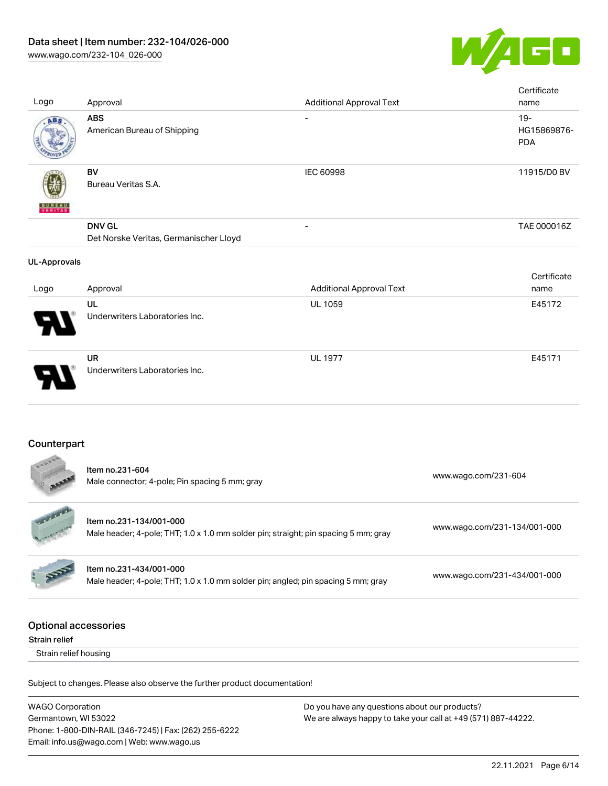

| Logo                                         | Approval                                                                                                       | <b>Additional Approval Text</b> | Certificate<br>name                 |
|----------------------------------------------|----------------------------------------------------------------------------------------------------------------|---------------------------------|-------------------------------------|
| ABS                                          | <b>ABS</b><br>American Bureau of Shipping                                                                      |                                 | $19 -$<br>HG15869876-<br><b>PDA</b> |
|                                              | <b>BV</b><br>Bureau Veritas S.A.                                                                               | IEC 60998                       | 11915/D0 BV                         |
|                                              | <b>DNV GL</b><br>Det Norske Veritas, Germanischer Lloyd                                                        |                                 | TAE 000016Z                         |
| <b>UL-Approvals</b>                          |                                                                                                                |                                 |                                     |
| Logo                                         | Approval                                                                                                       | <b>Additional Approval Text</b> | Certificate<br>name                 |
|                                              | UL<br>Underwriters Laboratories Inc.                                                                           | UL 1059                         | E45172                              |
|                                              | <b>UR</b><br>Underwriters Laboratories Inc.                                                                    | <b>UL 1977</b>                  | E45171                              |
| Counterpart                                  |                                                                                                                |                                 |                                     |
|                                              | Item no.231-604<br>Male connector; 4-pole; Pin spacing 5 mm; gray                                              |                                 | www.wago.com/231-604                |
|                                              | Item no.231-134/001-000<br>Male header; 4-pole; THT; 1.0 x 1.0 mm solder pin; straight; pin spacing 5 mm; gray |                                 | www.wago.com/231-134/001-000        |
|                                              | Item no.231-434/001-000<br>Male header; 4-pole; THT; 1.0 x 1.0 mm solder pin; angled; pin spacing 5 mm; gray   |                                 | www.wago.com/231-434/001-000        |
| <b>Optional accessories</b><br>Strain relief |                                                                                                                |                                 |                                     |
| Strain relief housing                        |                                                                                                                |                                 |                                     |
|                                              | Subject to changes. Please also observe the further product documentation!                                     |                                 |                                     |
|                                              |                                                                                                                |                                 |                                     |

WAGO Corporation Germantown, WI 53022 Phone: 1-800-DIN-RAIL (346-7245) | Fax: (262) 255-6222 Email: info.us@wago.com | Web: www.wago.us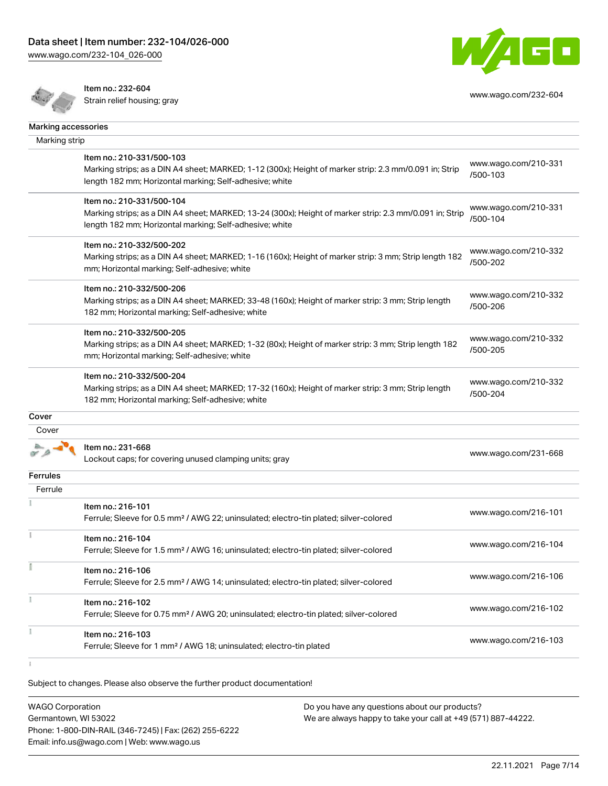[www.wago.com/232-104\\_026-000](http://www.wago.com/232-104_026-000)





Item no.: 232-604

Next risk 202 004<br>Strain relief housing; gray [www.wago.com/232-604](http://www.wago.com/232-604)

| Marking accessories |                                                                                                                                                                                                 |                                  |
|---------------------|-------------------------------------------------------------------------------------------------------------------------------------------------------------------------------------------------|----------------------------------|
| Marking strip       |                                                                                                                                                                                                 |                                  |
|                     | Item no.: 210-331/500-103<br>Marking strips; as a DIN A4 sheet; MARKED; 1-12 (300x); Height of marker strip: 2.3 mm/0.091 in; Strip<br>length 182 mm; Horizontal marking; Self-adhesive; white  | www.wago.com/210-331<br>/500-103 |
|                     | Item no.: 210-331/500-104<br>Marking strips; as a DIN A4 sheet; MARKED; 13-24 (300x); Height of marker strip: 2.3 mm/0.091 in; Strip<br>length 182 mm; Horizontal marking; Self-adhesive; white | www.wago.com/210-331<br>/500-104 |
|                     | Item no.: 210-332/500-202<br>Marking strips; as a DIN A4 sheet; MARKED; 1-16 (160x); Height of marker strip: 3 mm; Strip length 182<br>mm; Horizontal marking; Self-adhesive; white             | www.wago.com/210-332<br>/500-202 |
|                     | Item no.: 210-332/500-206<br>Marking strips; as a DIN A4 sheet; MARKED; 33-48 (160x); Height of marker strip: 3 mm; Strip length<br>182 mm; Horizontal marking; Self-adhesive; white            | www.wago.com/210-332<br>/500-206 |
|                     | Item no.: 210-332/500-205<br>Marking strips; as a DIN A4 sheet; MARKED; 1-32 (80x); Height of marker strip: 3 mm; Strip length 182<br>mm; Horizontal marking; Self-adhesive; white              | www.wago.com/210-332<br>/500-205 |
|                     | Item no.: 210-332/500-204<br>Marking strips; as a DIN A4 sheet; MARKED; 17-32 (160x); Height of marker strip: 3 mm; Strip length<br>182 mm; Horizontal marking; Self-adhesive; white            | www.wago.com/210-332<br>/500-204 |
| Cover               |                                                                                                                                                                                                 |                                  |
| Cover               |                                                                                                                                                                                                 |                                  |
|                     | Item no.: 231-668<br>Lockout caps; for covering unused clamping units; gray                                                                                                                     | www.wago.com/231-668             |
| <b>Ferrules</b>     |                                                                                                                                                                                                 |                                  |
| Ferrule             |                                                                                                                                                                                                 |                                  |
|                     | Item no.: 216-101<br>Ferrule; Sleeve for 0.5 mm <sup>2</sup> / AWG 22; uninsulated; electro-tin plated; silver-colored                                                                          | www.wago.com/216-101             |
|                     | Item no.: 216-104<br>Ferrule; Sleeve for 1.5 mm <sup>2</sup> / AWG 16; uninsulated; electro-tin plated; silver-colored                                                                          | www.wago.com/216-104             |
|                     | Item no.: 216-106<br>Ferrule; Sleeve for 2.5 mm <sup>2</sup> / AWG 14; uninsulated; electro-tin plated; silver-colored                                                                          | www.wago.com/216-106             |
|                     | Item no.: 216-102<br>Ferrule; Sleeve for 0.75 mm <sup>2</sup> / AWG 20; uninsulated; electro-tin plated; silver-colored                                                                         | www.wago.com/216-102             |
|                     | Item no.: 216-103<br>Ferrule; Sleeve for 1 mm <sup>2</sup> / AWG 18; uninsulated; electro-tin plated                                                                                            | www.wago.com/216-103             |
|                     |                                                                                                                                                                                                 |                                  |

 $\ddot{1}$ 

Subject to changes. Please also observe the further product documentation!

WAGO Corporation Germantown, WI 53022 Phone: 1-800-DIN-RAIL (346-7245) | Fax: (262) 255-6222 Email: info.us@wago.com | Web: www.wago.us Do you have any questions about our products? We are always happy to take your call at +49 (571) 887-44222.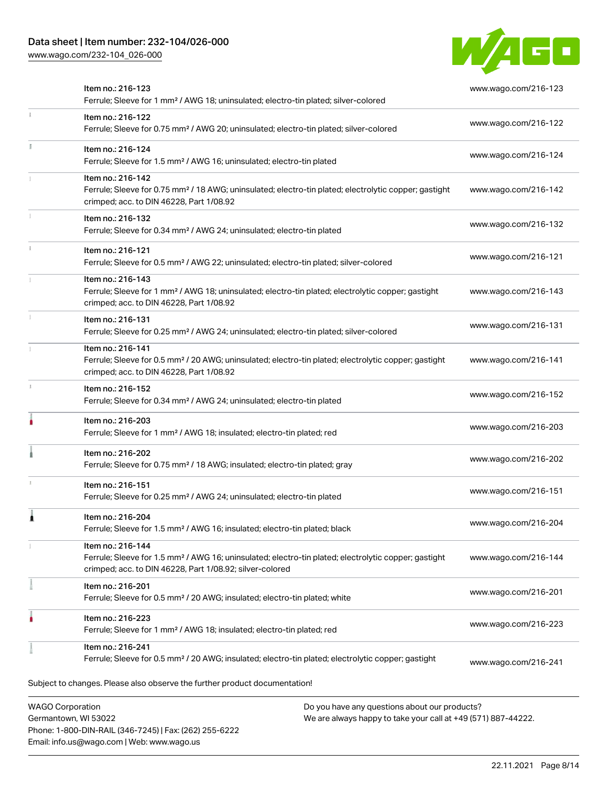Phone: 1-800-DIN-RAIL (346-7245) | Fax: (262) 255-6222

Email: info.us@wago.com | Web: www.wago.us

[www.wago.com/232-104\\_026-000](http://www.wago.com/232-104_026-000)



| Item no.: 216-123<br>Ferrule; Sleeve for 1 mm <sup>2</sup> / AWG 18; uninsulated; electro-tin plated; silver-colored                                                                              | www.wago.com/216-123 |
|---------------------------------------------------------------------------------------------------------------------------------------------------------------------------------------------------|----------------------|
| Item no.: 216-122<br>Ferrule; Sleeve for 0.75 mm <sup>2</sup> / AWG 20; uninsulated; electro-tin plated; silver-colored                                                                           | www.wago.com/216-122 |
| Item no.: 216-124<br>Ferrule; Sleeve for 1.5 mm <sup>2</sup> / AWG 16; uninsulated; electro-tin plated                                                                                            | www.wago.com/216-124 |
| Item no.: 216-142<br>Ferrule; Sleeve for 0.75 mm <sup>2</sup> / 18 AWG; uninsulated; electro-tin plated; electrolytic copper; gastight<br>crimped; acc. to DIN 46228, Part 1/08.92                | www.wago.com/216-142 |
| Item no.: 216-132<br>Ferrule; Sleeve for 0.34 mm <sup>2</sup> / AWG 24; uninsulated; electro-tin plated                                                                                           | www.wago.com/216-132 |
| Item no.: 216-121<br>Ferrule; Sleeve for 0.5 mm <sup>2</sup> / AWG 22; uninsulated; electro-tin plated; silver-colored                                                                            | www.wago.com/216-121 |
| Item no.: 216-143<br>Ferrule; Sleeve for 1 mm <sup>2</sup> / AWG 18; uninsulated; electro-tin plated; electrolytic copper; gastight<br>crimped; acc. to DIN 46228, Part 1/08.92                   | www.wago.com/216-143 |
| Item no.: 216-131<br>Ferrule; Sleeve for 0.25 mm <sup>2</sup> / AWG 24; uninsulated; electro-tin plated; silver-colored                                                                           | www.wago.com/216-131 |
| Item no.: 216-141<br>Ferrule; Sleeve for 0.5 mm <sup>2</sup> / 20 AWG; uninsulated; electro-tin plated; electrolytic copper; gastight<br>crimped; acc. to DIN 46228, Part 1/08.92                 | www.wago.com/216-141 |
| Item no.: 216-152<br>Ferrule; Sleeve for 0.34 mm <sup>2</sup> / AWG 24; uninsulated; electro-tin plated                                                                                           | www.wago.com/216-152 |
| Item no.: 216-203<br>Ferrule; Sleeve for 1 mm <sup>2</sup> / AWG 18; insulated; electro-tin plated; red                                                                                           | www.wago.com/216-203 |
| Item no.: 216-202<br>Ferrule; Sleeve for 0.75 mm <sup>2</sup> / 18 AWG; insulated; electro-tin plated; gray                                                                                       | www.wago.com/216-202 |
| Item no.: 216-151<br>Ferrule; Sleeve for 0.25 mm <sup>2</sup> / AWG 24; uninsulated; electro-tin plated                                                                                           | www.wago.com/216-151 |
| Item no.: 216-204<br>Ferrule; Sleeve for 1.5 mm <sup>2</sup> / AWG 16; insulated; electro-tin plated; black                                                                                       | www.wago.com/216-204 |
| Item no.: 216-144<br>Ferrule; Sleeve for 1.5 mm <sup>2</sup> / AWG 16; uninsulated; electro-tin plated; electrolytic copper; gastight<br>crimped; acc. to DIN 46228, Part 1/08.92; silver-colored | www.wago.com/216-144 |
| Item no.: 216-201<br>Ferrule; Sleeve for 0.5 mm <sup>2</sup> / 20 AWG; insulated; electro-tin plated; white                                                                                       | www.wago.com/216-201 |
| Item no.: 216-223<br>Ferrule; Sleeve for 1 mm <sup>2</sup> / AWG 18; insulated; electro-tin plated; red                                                                                           | www.wago.com/216-223 |
| Item no.: 216-241<br>Ferrule; Sleeve for 0.5 mm <sup>2</sup> / 20 AWG; insulated; electro-tin plated; electrolytic copper; gastight                                                               | www.wago.com/216-241 |
| Subject to changes. Please also observe the further product documentation!                                                                                                                        |                      |
| <b>WAGO Corporation</b><br>Do you have any questions about our products?<br>Germantown, WI 53022<br>We are always happy to take your call at +49 (571) 887-44222.                                 |                      |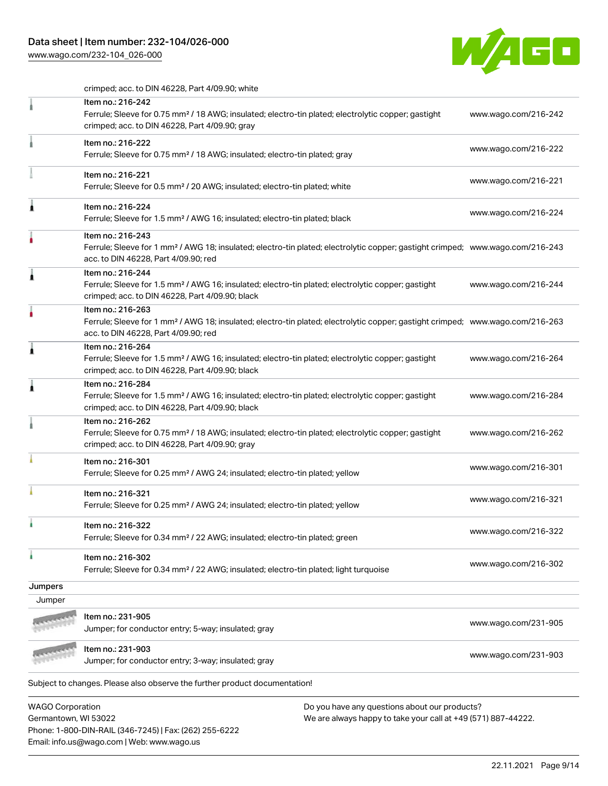## Data sheet | Item number: 232-104/026-000

Phone: 1-800-DIN-RAIL (346-7245) | Fax: (262) 255-6222

Email: info.us@wago.com | Web: www.wago.us

[www.wago.com/232-104\\_026-000](http://www.wago.com/232-104_026-000)



crimped; acc. to DIN 46228, Part 4/09.90; white

|                         | Item no.: 216-242                                                                                                                                                                                       |                                                               |                      |
|-------------------------|---------------------------------------------------------------------------------------------------------------------------------------------------------------------------------------------------------|---------------------------------------------------------------|----------------------|
|                         | Ferrule; Sleeve for 0.75 mm <sup>2</sup> / 18 AWG; insulated; electro-tin plated; electrolytic copper; gastight<br>crimped; acc. to DIN 46228, Part 4/09.90; gray                                       |                                                               | www.wago.com/216-242 |
|                         | Item no.: 216-222<br>Ferrule; Sleeve for 0.75 mm <sup>2</sup> / 18 AWG; insulated; electro-tin plated; gray                                                                                             |                                                               | www.wago.com/216-222 |
|                         | Item no.: 216-221<br>Ferrule; Sleeve for 0.5 mm <sup>2</sup> / 20 AWG; insulated; electro-tin plated; white                                                                                             |                                                               | www.wago.com/216-221 |
| 1                       | Item no.: 216-224<br>Ferrule; Sleeve for 1.5 mm <sup>2</sup> / AWG 16; insulated; electro-tin plated; black                                                                                             |                                                               | www.wago.com/216-224 |
|                         | Item no.: 216-243<br>Ferrule; Sleeve for 1 mm <sup>2</sup> / AWG 18; insulated; electro-tin plated; electrolytic copper; gastight crimped; www.wago.com/216-243<br>acc. to DIN 46228, Part 4/09.90; red |                                                               |                      |
| Â                       | Item no.: 216-244<br>Ferrule; Sleeve for 1.5 mm <sup>2</sup> / AWG 16; insulated; electro-tin plated; electrolytic copper; gastight<br>crimped; acc. to DIN 46228, Part 4/09.90; black                  |                                                               | www.wago.com/216-244 |
|                         | Item no.: 216-263<br>Ferrule; Sleeve for 1 mm <sup>2</sup> / AWG 18; insulated; electro-tin plated; electrolytic copper; gastight crimped; www.wago.com/216-263<br>acc. to DIN 46228, Part 4/09.90; red |                                                               |                      |
| ۸                       | Item no.: 216-264<br>Ferrule; Sleeve for 1.5 mm <sup>2</sup> / AWG 16; insulated; electro-tin plated; electrolytic copper; gastight<br>crimped; acc. to DIN 46228, Part 4/09.90; black                  |                                                               | www.wago.com/216-264 |
| 1                       | Item no.: 216-284<br>Ferrule; Sleeve for 1.5 mm <sup>2</sup> / AWG 16; insulated; electro-tin plated; electrolytic copper; gastight<br>crimped; acc. to DIN 46228, Part 4/09.90; black                  |                                                               | www.wago.com/216-284 |
|                         | Item no.: 216-262<br>Ferrule; Sleeve for 0.75 mm <sup>2</sup> / 18 AWG; insulated; electro-tin plated; electrolytic copper; gastight<br>crimped; acc. to DIN 46228, Part 4/09.90; gray                  |                                                               | www.wago.com/216-262 |
|                         | Item no.: 216-301<br>Ferrule; Sleeve for 0.25 mm <sup>2</sup> / AWG 24; insulated; electro-tin plated; yellow                                                                                           |                                                               | www.wago.com/216-301 |
|                         | Item no.: 216-321<br>Ferrule; Sleeve for 0.25 mm <sup>2</sup> / AWG 24; insulated; electro-tin plated; yellow                                                                                           |                                                               | www.wago.com/216-321 |
|                         | Item no.: 216-322<br>Ferrule; Sleeve for 0.34 mm <sup>2</sup> / 22 AWG; insulated; electro-tin plated; green                                                                                            |                                                               | www.wago.com/216-322 |
| ı                       | Item no.: 216-302<br>Ferrule; Sleeve for 0.34 mm <sup>2</sup> / 22 AWG; insulated; electro-tin plated; light turquoise                                                                                  |                                                               | www.wago.com/216-302 |
| Jumpers                 |                                                                                                                                                                                                         |                                                               |                      |
| Jumper                  |                                                                                                                                                                                                         |                                                               |                      |
|                         | Item no.: 231-905<br>Jumper; for conductor entry; 5-way; insulated; gray                                                                                                                                |                                                               | www.wago.com/231-905 |
|                         | Item no.: 231-903<br>Jumper; for conductor entry; 3-way; insulated; gray                                                                                                                                |                                                               | www.wago.com/231-903 |
|                         | Subject to changes. Please also observe the further product documentation!                                                                                                                              |                                                               |                      |
| <b>WAGO Corporation</b> |                                                                                                                                                                                                         | Do you have any questions about our products?                 |                      |
| Germantown, WI 53022    |                                                                                                                                                                                                         | We are always happy to take your call at +49 (571) 887-44222. |                      |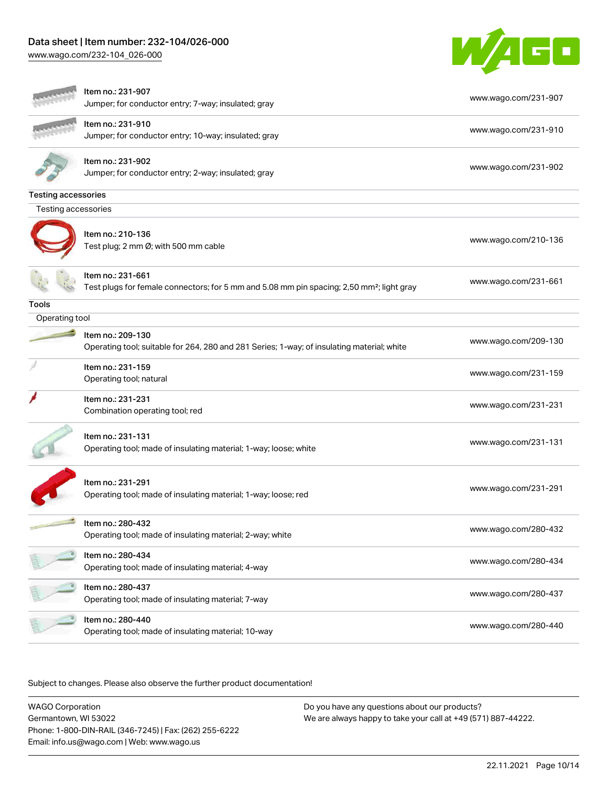# Data sheet | Item number: 232-104/026-000

[www.wago.com/232-104\\_026-000](http://www.wago.com/232-104_026-000)



|                            | Item no.: 231-907<br>Jumper; for conductor entry; 7-way; insulated; gray                                                   | www.wago.com/231-907 |
|----------------------------|----------------------------------------------------------------------------------------------------------------------------|----------------------|
|                            | Item no.: 231-910<br>Jumper; for conductor entry; 10-way; insulated; gray                                                  | www.wago.com/231-910 |
|                            | Item no.: 231-902<br>Jumper; for conductor entry; 2-way; insulated; gray                                                   | www.wago.com/231-902 |
| <b>Testing accessories</b> |                                                                                                                            |                      |
| Testing accessories        |                                                                                                                            |                      |
|                            | Item no.: 210-136<br>Test plug; 2 mm Ø; with 500 mm cable                                                                  | www.wago.com/210-136 |
|                            | Item no.: 231-661<br>Test plugs for female connectors; for 5 mm and 5.08 mm pin spacing; 2,50 mm <sup>2</sup> ; light gray | www.wago.com/231-661 |
| Tools                      |                                                                                                                            |                      |
| Operating tool             |                                                                                                                            |                      |
|                            | Item no.: 209-130<br>Operating tool; suitable for 264, 280 and 281 Series; 1-way; of insulating material; white            | www.wago.com/209-130 |
|                            | Item no.: 231-159<br>Operating tool; natural                                                                               | www.wago.com/231-159 |
|                            | Item no.: 231-231<br>Combination operating tool; red                                                                       | www.wago.com/231-231 |
|                            | Item no.: 231-131<br>Operating tool; made of insulating material; 1-way; loose; white                                      | www.wago.com/231-131 |
|                            | Item no.: 231-291<br>Operating tool; made of insulating material; 1-way; loose; red                                        | www.wago.com/231-291 |
|                            | Item no.: 280-432<br>Operating tool; made of insulating material; 2-way; white                                             | www.wago.com/280-432 |
|                            | Item no.: 280-434<br>Operating tool; made of insulating material; 4-way                                                    | www.wago.com/280-434 |
|                            | Item no.: 280-437<br>Operating tool; made of insulating material; 7-way                                                    | www.wago.com/280-437 |
|                            | Item no.: 280-440<br>Operating tool; made of insulating material; 10-way                                                   | www.wago.com/280-440 |
|                            |                                                                                                                            |                      |

Subject to changes. Please also observe the further product documentation!

WAGO Corporation Germantown, WI 53022 Phone: 1-800-DIN-RAIL (346-7245) | Fax: (262) 255-6222 Email: info.us@wago.com | Web: www.wago.us Do you have any questions about our products? We are always happy to take your call at +49 (571) 887-44222.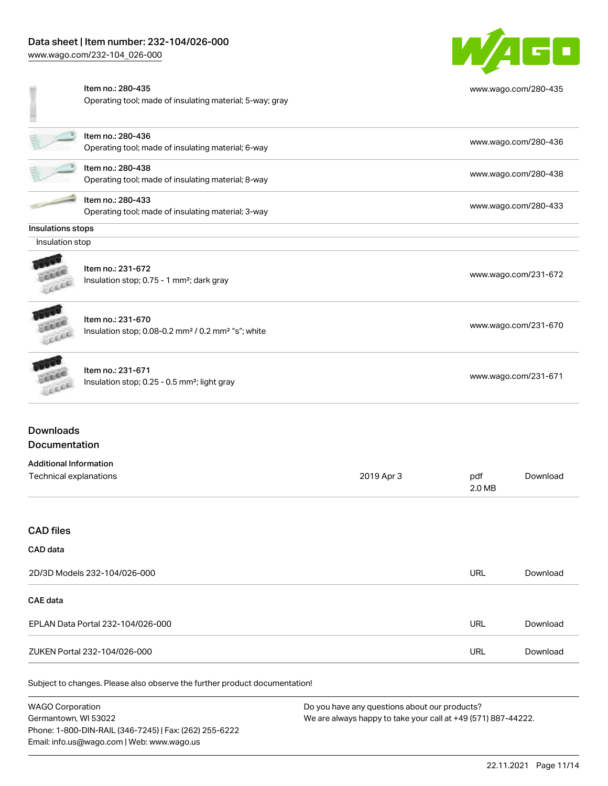Item no.: 280-435

[www.wago.com/232-104\\_026-000](http://www.wago.com/232-104_026-000)



| www.wago.com/280-435 |  |
|----------------------|--|
|----------------------|--|

| Item no.: 280-436<br>Operating tool; made of insulating material; 6-way | www.wago.com/280-436 |
|-------------------------------------------------------------------------|----------------------|
| Item no.: 280-438<br>Operating tool; made of insulating material; 8-way | www.wago.com/280-438 |

Operating tool; made of insulating material; 5-way; gray

Item no.: 280-433 Operating tool; made of insulating material; 3-way [www.wago.com/280-433](http://www.wago.com/280-433)

#### Insulations stops

Insulation stop

 $\overline{\phantom{a}}$ 



Item no.: 231-672 Insulation stop; 0.75 - 1 mm<sup>2</sup>; dark gray [www.wago.com/231-672](http://www.wago.com/231-672) www.wago.com/231-672



**CALLED** LEEEE Item no.: 231-670 Insulation stop; 0.08-0.2 mm<sup>2</sup> / 0.2 mm<sup>2</sup> "s"; white [www.wago.com/231-670](http://www.wago.com/231-670) www.wago.com/231-670

# Item no.: 231-671

Insulation stop; 0.25 - 0.5 mm²; light gray [www.wago.com/231-671](http://www.wago.com/231-671) www.wago.com/231-671

#### Downloads Documentation

| Additional Information |            |        |          |
|------------------------|------------|--------|----------|
| Technical explanations | 2019 Apr 3 | pdf    | Download |
|                        |            | 2.0 MB |          |

#### CAD files

#### CAD data

| 2D/3D Models 232-104/026-000      | <b>URL</b> | Download |
|-----------------------------------|------------|----------|
| <b>CAE data</b>                   |            |          |
| EPLAN Data Portal 232-104/026-000 | URL        | Download |
| ZUKEN Portal 232-104/026-000      | <b>URL</b> | Download |

Subject to changes. Please also observe the further product documentation!

WAGO Corporation Germantown, WI 53022 Phone: 1-800-DIN-RAIL (346-7245) | Fax: (262) 255-6222 Email: info.us@wago.com | Web: www.wago.us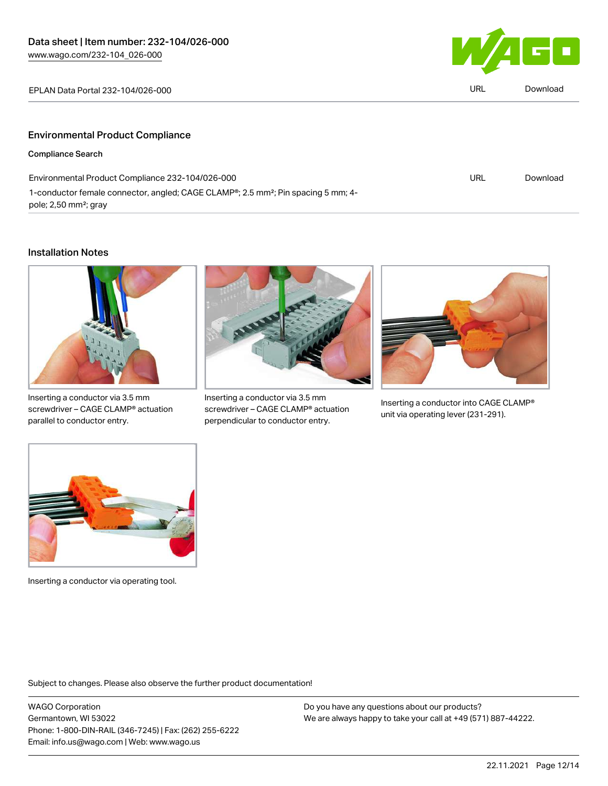

| EPLAN Data Portal 232-104/026-000       | URL | Download |
|-----------------------------------------|-----|----------|
|                                         |     |          |
| <b>Environmental Product Compliance</b> |     |          |
| <b>Compliance Search</b>                |     |          |

| Environmental Product Compliance 232-104/026-000                                                           | URL | Download |
|------------------------------------------------------------------------------------------------------------|-----|----------|
| 1-conductor female connector, angled; CAGE CLAMP <sup>®</sup> ; 2.5 mm <sup>2</sup> ; Pin spacing 5 mm; 4- |     |          |
| pole; 2,50 mm <sup>2</sup> ; gray                                                                          |     |          |

#### Installation Notes



Inserting a conductor via 3.5 mm screwdriver – CAGE CLAMP® actuation parallel to conductor entry.



Inserting a conductor via 3.5 mm screwdriver – CAGE CLAMP® actuation perpendicular to conductor entry.



Inserting a conductor into CAGE CLAMP® unit via operating lever (231-291).



Inserting a conductor via operating tool.

Subject to changes. Please also observe the further product documentation!

WAGO Corporation Germantown, WI 53022 Phone: 1-800-DIN-RAIL (346-7245) | Fax: (262) 255-6222 Email: info.us@wago.com | Web: www.wago.us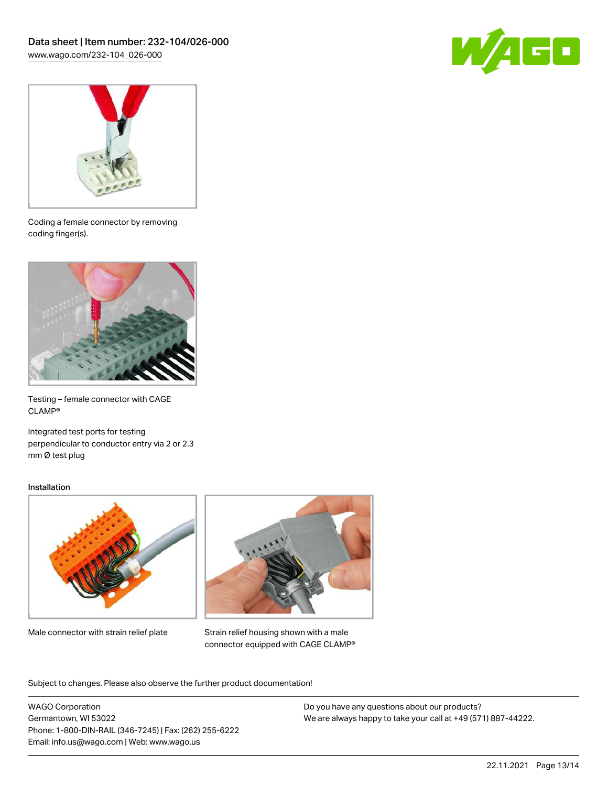



Coding a female connector by removing coding finger(s).



Testing – female connector with CAGE CLAMP®

Integrated test ports for testing perpendicular to conductor entry via 2 or 2.3 mm Ø test plug

#### Installation



Male connector with strain relief plate



Strain relief housing shown with a male connector equipped with CAGE CLAMP®

Subject to changes. Please also observe the further product documentation!

WAGO Corporation Germantown, WI 53022 Phone: 1-800-DIN-RAIL (346-7245) | Fax: (262) 255-6222 Email: info.us@wago.com | Web: www.wago.us